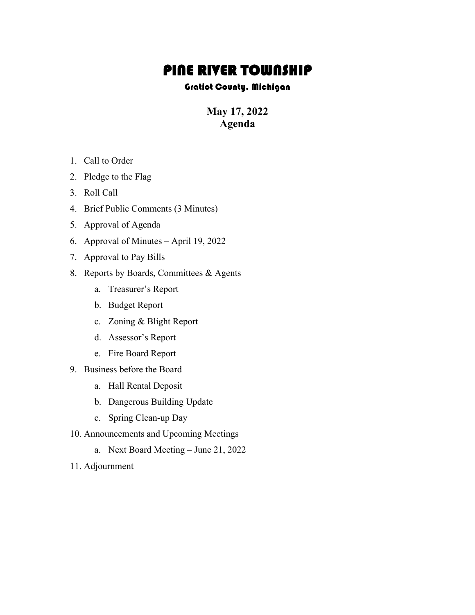## **PINE RIVER TOWNSHIP**<br>Gratiot County, Michigan

**May 17, 2022 Agenda**

- 1. Call to Order
- 2. Pledge to the Flag
- 3. Roll Call
- 4. Brief Public Comments (3 Minutes)
- 5. Approval of Agenda
- 6. Approval of Minutes April 19, 2022
- 7. Approval to Pay Bills
- 8. Reports by Boards, Committees & Agents
	- a. Treasurer's Report
	- b. Budget Report
	- c. Zoning & Blight Report
	- d. Assessor's Report
	- e. Fire Board Report
- 9. Business before the Board
	- a. Hall Rental Deposit
	- b. Dangerous Building Update
	- c. Spring Clean-up Day
- 10. Announcements and Upcoming Meetings
	- a. Next Board Meeting June 21, 2022
- 11. Adjournment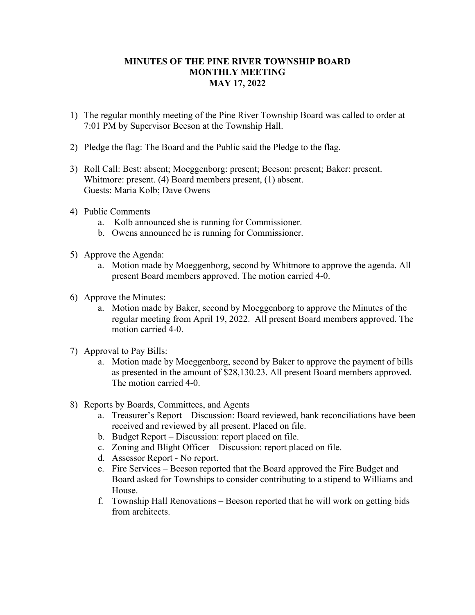## **MINUTES OF THE PINE RIVER TOWNSHIP BOARD MONTHLY MEETING MAY 17, 2022**

- 1) The regular monthly meeting of the Pine River Township Board was called to order at 7:01 PM by Supervisor Beeson at the Township Hall.
- 2) Pledge the flag: The Board and the Public said the Pledge to the flag.
- 3) Roll Call: Best: absent; Moeggenborg: present; Beeson: present; Baker: present. Whitmore: present. (4) Board members present, (1) absent. Guests: Maria Kolb; Dave Owens
- 4) Public Comments
	- a. Kolb announced she is running for Commissioner.
	- b. Owens announced he is running for Commissioner.
- 5) Approve the Agenda:
	- a. Motion made by Moeggenborg, second by Whitmore to approve the agenda. All present Board members approved. The motion carried 4-0.
- 6) Approve the Minutes:
	- a. Motion made by Baker, second by Moeggenborg to approve the Minutes of the regular meeting from April 19, 2022. All present Board members approved. The motion carried 4-0.
- 7) Approval to Pay Bills:
	- a. Motion made by Moeggenborg, second by Baker to approve the payment of bills as presented in the amount of \$28,130.23. All present Board members approved. The motion carried 4-0.
- 8) Reports by Boards, Committees, and Agents
	- a. Treasurer's Report Discussion: Board reviewed, bank reconciliations have been received and reviewed by all present. Placed on file.
	- b. Budget Report Discussion: report placed on file.
	- c. Zoning and Blight Officer Discussion: report placed on file.
	- d. Assessor Report No report.
	- e. Fire Services Beeson reported that the Board approved the Fire Budget and Board asked for Townships to consider contributing to a stipend to Williams and House.
	- f. Township Hall Renovations Beeson reported that he will work on getting bids from architects.